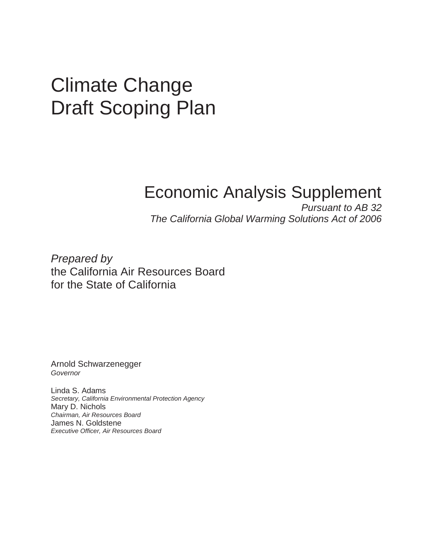# Climate Change Draft Scoping Plan

# Economic Analysis Supplement

 The California Global Warming Solutions Act of 2006 Pursuant to AB 32

 Prepared by the California Air Resources Board for the State of California

Arnold Schwarzenegger Governor

 Linda S. Adams Mary D. Nichols James N. Goldstene Executive Officer, Air Resources Board Secretary, California Environmental Protection Agency Chairman, Air Resources Board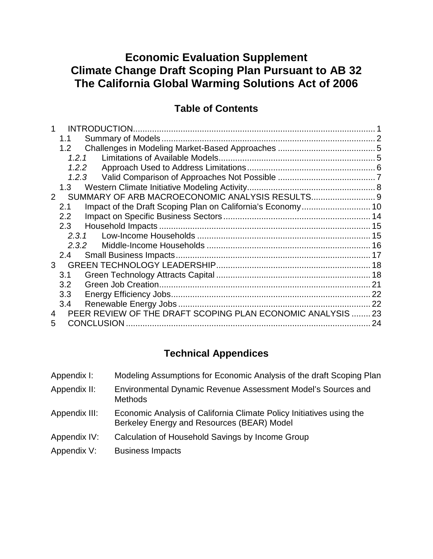# **Climate Change Draft Scoping Plan Pursuant to AB 32 The California Global Warming Solutions Act of 2006 Economic Evaluation Supplement**

#### **Table of Contents**

| INTRODUCTION.     |                                                                                                                                          |
|-------------------|------------------------------------------------------------------------------------------------------------------------------------------|
|                   |                                                                                                                                          |
|                   |                                                                                                                                          |
| 1.2.1             |                                                                                                                                          |
| 1.2.2             |                                                                                                                                          |
| 1.2.3             |                                                                                                                                          |
|                   |                                                                                                                                          |
|                   |                                                                                                                                          |
|                   |                                                                                                                                          |
|                   |                                                                                                                                          |
|                   |                                                                                                                                          |
| 2.3.1             |                                                                                                                                          |
| 2.3.2             |                                                                                                                                          |
|                   |                                                                                                                                          |
|                   |                                                                                                                                          |
|                   |                                                                                                                                          |
|                   | 21                                                                                                                                       |
|                   |                                                                                                                                          |
|                   | 22                                                                                                                                       |
|                   |                                                                                                                                          |
| <b>CONCLUSION</b> | 24                                                                                                                                       |
| 2<br>3            | 1.1<br>1.2<br>1.3<br>2.1<br>2.2<br>2.3<br>2.4<br>3.1<br>3.2<br>3.3<br>3.4<br>PEER REVIEW OF THE DRAFT SCOPING PLAN ECONOMIC ANALYSIS  23 |

## **Technical Appendices**

| Appendix I:   | Modeling Assumptions for Economic Analysis of the draft Scoping Plan                                               |
|---------------|--------------------------------------------------------------------------------------------------------------------|
| Appendix II:  | Environmental Dynamic Revenue Assessment Model's Sources and<br><b>Methods</b>                                     |
| Appendix III: | Economic Analysis of California Climate Policy Initiatives using the<br>Berkeley Energy and Resources (BEAR) Model |
| Appendix IV:  | Calculation of Household Savings by Income Group                                                                   |
| Appendix V:   | <b>Business Impacts</b>                                                                                            |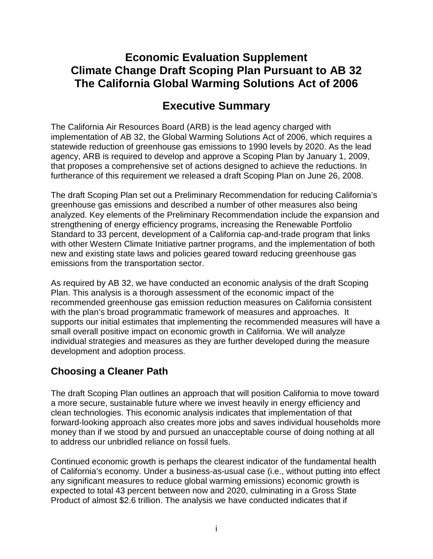## **Climate Change Draft Scoping Plan Pursuant to AB 32 The California Global Warming Solutions Act of 2006 Economic Evaluation Supplement**

# **Executive Summary**

 The California Air Resources Board (ARB) is the lead agency charged with implementation of AB 32, the Global Warming Solutions Act of 2006, which requires a statewide reduction of greenhouse gas emissions to 1990 levels by 2020. As the lead agency, ARB is required to develop and approve a Scoping Plan by January 1, 2009, that proposes a comprehensive set of actions designed to achieve the reductions. In furtherance of this requirement we released a draft Scoping Plan on June 26, 2008.

 The draft Scoping Plan set out a Preliminary Recommendation for reducing California's greenhouse gas emissions and described a number of other measures also being analyzed. Key elements of the Preliminary Recommendation include the expansion and strengthening of energy efficiency programs, increasing the Renewable Portfolio Standard to 33 percent, development of a California cap-and-trade program that links with other Western Climate Initiative partner programs, and the implementation of both new and existing state laws and policies geared toward reducing greenhouse gas emissions from the transportation sector.

 As required by AB 32, we have conducted an economic analysis of the draft Scoping Plan. This analysis is a thorough assessment of the economic impact of the recommended greenhouse gas emission reduction measures on California consistent with the plan's broad programmatic framework of measures and approaches. It supports our initial estimates that implementing the recommended measures will have a small overall positive impact on economic growth in California. We will analyze individual strategies and measures as they are further developed during the measure development and adoption process.

### **Choosing a Cleaner Path**

 The draft Scoping Plan outlines an approach that will position California to move toward a more secure, sustainable future where we invest heavily in energy efficiency and clean technologies. This economic analysis indicates that implementation of that forward-looking approach also creates more jobs and saves individual households more money than if we stood by and pursued an unacceptable course of doing nothing at all to address our unbridled reliance on fossil fuels.

 Continued economic growth is perhaps the clearest indicator of the fundamental health of California's economy. Under a business-as-usual case (i.e., without putting into effect any significant measures to reduce global warming emissions) economic growth is expected to total 43 percent between now and 2020, culminating in a Gross State Product of almost \$2.6 trillion. The analysis we have conducted indicates that if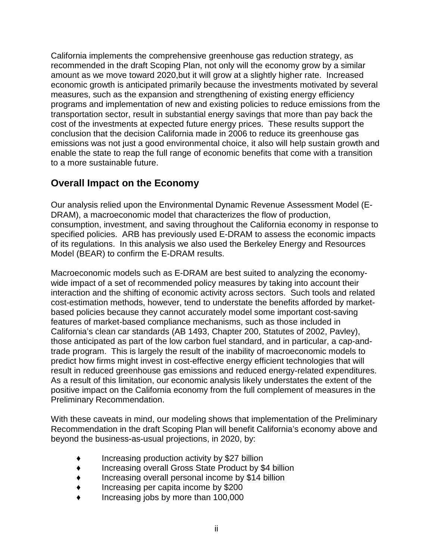California implements the comprehensive greenhouse gas reduction strategy, as recommended in the draft Scoping Plan, not only will the economy grow by a similar amount as we move toward 2020,but it will grow at a slightly higher rate. Increased economic growth is anticipated primarily because the investments motivated by several measures, such as the expansion and strengthening of existing energy efficiency programs and implementation of new and existing policies to reduce emissions from the transportation sector, result in substantial energy savings that more than pay back the cost of the investments at expected future energy prices. These results support the conclusion that the decision California made in 2006 to reduce its greenhouse gas emissions was not just a good environmental choice, it also will help sustain growth and enable the state to reap the full range of economic benefits that come with a transition to a more sustainable future.

#### **Overall Impact on the Economy**

 Our analysis relied upon the Environmental Dynamic Revenue Assessment Model (E- DRAM), a macroeconomic model that characterizes the flow of production, consumption, investment, and saving throughout the California economy in response to specified policies. ARB has previously used E-DRAM to assess the economic impacts of its regulations. In this analysis we also used the Berkeley Energy and Resources Model (BEAR) to confirm the E-DRAM results.

 Macroeconomic models such as E-DRAM are best suited to analyzing the economy- wide impact of a set of recommended policy measures by taking into account their interaction and the shifting of economic activity across sectors. Such tools and related cost-estimation methods, however, tend to understate the benefits afforded by market- based policies because they cannot accurately model some important cost-saving features of market-based compliance mechanisms, such as those included in California's clean car standards (AB 1493, Chapter 200, Statutes of 2002, Pavley), those anticipated as part of the low carbon fuel standard, and in particular, a cap-and- trade program. This is largely the result of the inability of macroeconomic models to predict how firms might invest in cost-effective energy efficient technologies that will result in reduced greenhouse gas emissions and reduced energy-related expenditures. As a result of this limitation, our economic analysis likely understates the extent of the positive impact on the California economy from the full complement of measures in the Preliminary Recommendation.

Preliminary Recommendation.<br>With these caveats in mind, our modeling shows that implementation of the Preliminary Recommendation in the draft Scoping Plan will benefit California's economy above and beyond the business-as-usual projections, in 2020, by:

- ♦ Increasing production activity by \$27 billion
- ♦ Increasing overall Gross State Product by \$4 billion
- Increasing overall personal income by \$14 billion
- Increasing per capita income by \$200
- Increasing jobs by more than 100,000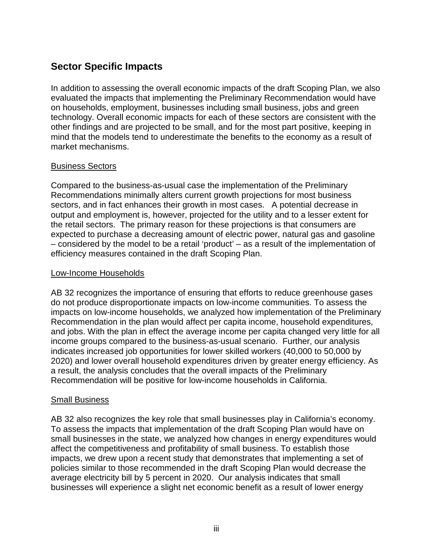#### **Sector Specific Impacts**

 In addition to assessing the overall economic impacts of the draft Scoping Plan, we also evaluated the impacts that implementing the Preliminary Recommendation would have on households, employment, businesses including small business, jobs and green technology. Overall economic impacts for each of these sectors are consistent with the other findings and are projected to be small, and for the most part positive, keeping in mind that the models tend to underestimate the benefits to the economy as a result of market mechanisms.

#### Business Sectors

 Compared to the business-as-usual case the implementation of the Preliminary Recommendations minimally alters current growth projections for most business sectors, and in fact enhances their growth in most cases. A potential decrease in output and employment is, however, projected for the utility and to a lesser extent for the retail sectors. The primary reason for these projections is that consumers are expected to purchase a decreasing amount of electric power, natural gas and gasoline – considered by the model to be a retail 'product' – as a result of the implementation of efficiency measures contained in the draft Scoping Plan.

#### Low-Income Households

 AB 32 recognizes the importance of ensuring that efforts to reduce greenhouse gases do not produce disproportionate impacts on low-income communities. To assess the impacts on low-income households, we analyzed how implementation of the Preliminary Recommendation in the plan would affect per capita income, household expenditures, and jobs. With the plan in effect the average income per capita changed very little for all income groups compared to the business-as-usual scenario. Further, our analysis indicates increased job opportunities for lower skilled workers (40,000 to 50,000 by 2020) and lower overall household expenditures driven by greater energy efficiency. As a result, the analysis concludes that the overall impacts of the Preliminary Recommendation will be positive for low-income households in California.

#### **Small Business**

 AB 32 also recognizes the key role that small businesses play in California's economy. To assess the impacts that implementation of the draft Scoping Plan would have on small businesses in the state, we analyzed how changes in energy expenditures would affect the competitiveness and profitability of small business. To establish those impacts, we drew upon a recent study that demonstrates that implementing a set of policies similar to those recommended in the draft Scoping Plan would decrease the average electricity bill by 5 percent in 2020. Our analysis indicates that small businesses will experience a slight net economic benefit as a result of lower energy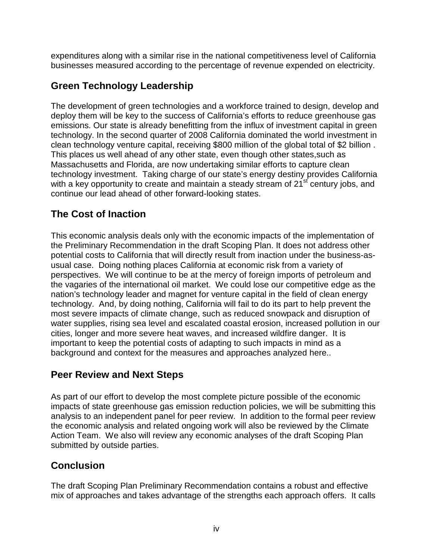expenditures along with a similar rise in the national competitiveness level of California businesses measured according to the percentage of revenue expended on electricity.

#### **Green Technology Leadership**

 The development of green technologies and a workforce trained to design, develop and deploy them will be key to the success of California's efforts to reduce greenhouse gas emissions. Our state is already benefitting from the influx of investment capital in green technology. In the second quarter of 2008 California dominated the world investment in clean technology venture capital, receiving \$800 million of the global total of \$2 billion . This places us well ahead of any other state, even though other states,such as Massachusetts and Florida, are now undertaking similar efforts to capture clean technology investment. Taking charge of our state's energy destiny provides California with a key opportunity to create and maintain a steady stream of 21<sup>st</sup> century jobs, and continue our lead ahead of other forward-looking states.

#### **The Cost of Inaction**

 This economic analysis deals only with the economic impacts of the implementation of the Preliminary Recommendation in the draft Scoping Plan. It does not address other potential costs to California that will directly result from inaction under the business-as- usual case. Doing nothing places California at economic risk from a variety of perspectives. We will continue to be at the mercy of foreign imports of petroleum and the vagaries of the international oil market. We could lose our competitive edge as the nation's technology leader and magnet for venture capital in the field of clean energy technology. And, by doing nothing, California will fail to do its part to help prevent the most severe impacts of climate change, such as reduced snowpack and disruption of water supplies, rising sea level and escalated coastal erosion, increased pollution in our cities, longer and more severe heat waves, and increased wildfire danger. It is important to keep the potential costs of adapting to such impacts in mind as a background and context for the measures and approaches analyzed here..

#### **Peer Review and Next Steps**

 As part of our effort to develop the most complete picture possible of the economic impacts of state greenhouse gas emission reduction policies, we will be submitting this analysis to an independent panel for peer review. In addition to the formal peer review the economic analysis and related ongoing work will also be reviewed by the Climate Action Team. We also will review any economic analyses of the draft Scoping Plan submitted by outside parties.

#### **Conclusion**

 The draft Scoping Plan Preliminary Recommendation contains a robust and effective mix of approaches and takes advantage of the strengths each approach offers. It calls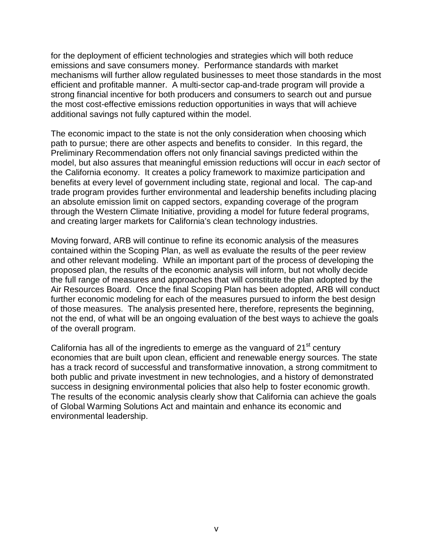for the deployment of efficient technologies and strategies which will both reduce emissions and save consumers money. Performance standards with market mechanisms will further allow regulated businesses to meet those standards in the most efficient and profitable manner. A multi-sector cap-and-trade program will provide a strong financial incentive for both producers and consumers to search out and pursue the most cost-effective emissions reduction opportunities in ways that will achieve additional savings not fully captured within the model.

 The economic impact to the state is not the only consideration when choosing which path to pursue; there are other aspects and benefits to consider. In this regard, the Preliminary Recommendation offers not only financial savings predicted within the model, but also assures that meaningful emission reductions will occur in each sector of the California economy. It creates a policy framework to maximize participation and benefits at every level of government including state, regional and local. The cap-and trade program provides further environmental and leadership benefits including placing an absolute emission limit on capped sectors, expanding coverage of the program through the Western Climate Initiative, providing a model for future federal programs, and creating larger markets for California's clean technology industries.

 Moving forward, ARB will continue to refine its economic analysis of the measures contained within the Scoping Plan, as well as evaluate the results of the peer review and other relevant modeling. While an important part of the process of developing the proposed plan, the results of the economic analysis will inform, but not wholly decide the full range of measures and approaches that will constitute the plan adopted by the Air Resources Board. Once the final Scoping Plan has been adopted, ARB will conduct further economic modeling for each of the measures pursued to inform the best design of those measures. The analysis presented here, therefore, represents the beginning, not the end, of what will be an ongoing evaluation of the best ways to achieve the goals of the overall program.

California has all of the ingredients to emerge as the vanguard of  $21<sup>st</sup>$  century economies that are built upon clean, efficient and renewable energy sources. The state has a track record of successful and transformative innovation, a strong commitment to both public and private investment in new technologies, and a history of demonstrated success in designing environmental policies that also help to foster economic growth. The results of the economic analysis clearly show that California can achieve the goals of Global Warming Solutions Act and maintain and enhance its economic and environmental leadership.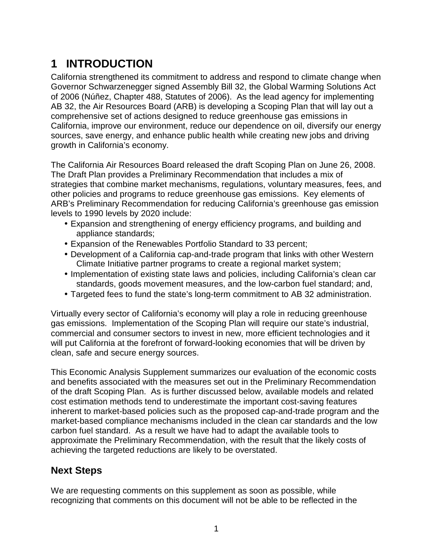# <span id="page-8-0"></span>**1 INTRODUCTION**

 California strengthened its commitment to address and respond to climate change when Governor Schwarzenegger signed Assembly Bill 32, the Global Warming Solutions Act of 2006 (Núñez, Chapter 488, Statutes of 2006). As the lead agency for implementing AB 32, the Air Resources Board (ARB) is developing a Scoping Plan that will lay out a comprehensive set of actions designed to reduce greenhouse gas emissions in California, improve our environment, reduce our dependence on oil, diversify our energy sources, save energy, and enhance public health while creating new jobs and driving growth in California's economy.

 The California Air Resources Board released the draft Scoping Plan on June 26, 2008. The Draft Plan provides a Preliminary Recommendation that includes a mix of strategies that combine market mechanisms, regulations, voluntary measures, fees, and other policies and programs to reduce greenhouse gas emissions. Key elements of ARB's Preliminary Recommendation for reducing California's greenhouse gas emission levels to 1990 levels by 2020 include:

- • Expansion and strengthening of energy efficiency programs, and building and appliance standards;
- Expansion of the Renewables Portfolio Standard to 33 percent;
- • Development of a California cap-and-trade program that links with other Western Climate Initiative partner programs to create a regional market system;
- • Implementation of existing state laws and policies, including California's clean car standards, goods movement measures, and the low-carbon fuel standard; and,
- Targeted fees to fund the state's long-term commitment to AB 32 administration.

 Virtually every sector of California's economy will play a role in reducing greenhouse gas emissions. Implementation of the Scoping Plan will require our state's industrial, commercial and consumer sectors to invest in new, more efficient technologies and it will put California at the forefront of forward-looking economies that will be driven by clean, safe and secure energy sources.

 This Economic Analysis Supplement summarizes our evaluation of the economic costs and benefits associated with the measures set out in the Preliminary Recommendation of the draft Scoping Plan. As is further discussed below, available models and related cost estimation methods tend to underestimate the important cost-saving features inherent to market-based policies such as the proposed cap-and-trade program and the market-based compliance mechanisms included in the clean car standards and the low carbon fuel standard. As a result we have had to adapt the available tools to approximate the Preliminary Recommendation, with the result that the likely costs of achieving the targeted reductions are likely to be overstated.

#### **Next Steps**

 We are requesting comments on this supplement as soon as possible, while recognizing that comments on this document will not be able to be reflected in the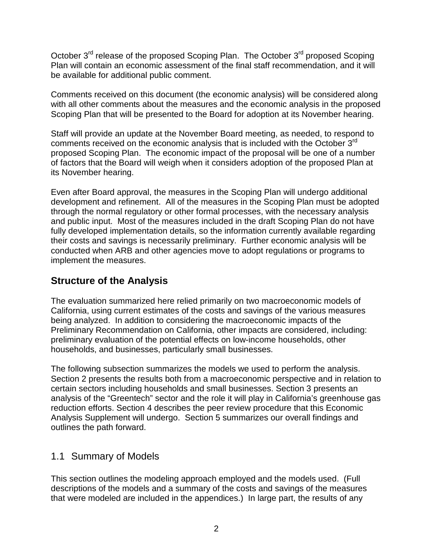<span id="page-9-0"></span>October 3<sup>rd</sup> release of the proposed Scoping Plan. The October 3<sup>rd</sup> proposed Scoping Plan will contain an economic assessment of the final staff recommendation, and it will be available for additional public comment.

 Comments received on this document (the economic analysis) will be considered along with all other comments about the measures and the economic analysis in the proposed Scoping Plan that will be presented to the Board for adoption at its November hearing.

 Staff will provide an update at the November Board meeting, as needed, to respond to comments received on the economic analysis that is included with the October  $3<sup>rd</sup>$  proposed Scoping Plan. The economic impact of the proposal will be one of a number of factors that the Board will weigh when it considers adoption of the proposed Plan at its November hearing.

 Even after Board approval, the measures in the Scoping Plan will undergo additional development and refinement. All of the measures in the Scoping Plan must be adopted through the normal regulatory or other formal processes, with the necessary analysis and public input. Most of the measures included in the draft Scoping Plan do not have fully developed implementation details, so the information currently available regarding their costs and savings is necessarily preliminary. Further economic analysis will be conducted when ARB and other agencies move to adopt regulations or programs to implement the measures.

#### **Structure of the Analysis**

 The evaluation summarized here relied primarily on two macroeconomic models of California, using current estimates of the costs and savings of the various measures being analyzed. In addition to considering the macroeconomic impacts of the Preliminary Recommendation on California, other impacts are considered, including: preliminary evaluation of the potential effects on low-income households, other households, and businesses, particularly small businesses.

 The following subsection summarizes the models we used to perform the analysis. Section 2 presents the results both from a macroeconomic perspective and in relation to certain sectors including households and small businesses. Section 3 presents an analysis of the "Greentech" sector and the role it will play in California's greenhouse gas reduction efforts. Section 4 describes the peer review procedure that this Economic Analysis Supplement will undergo. Section 5 summarizes our overall findings and outlines the path forward.

#### 1.1 Summary of Models

 This section outlines the modeling approach employed and the models used. (Full descriptions of the models and a summary of the costs and savings of the measures that were modeled are included in the appendices.) In large part, the results of any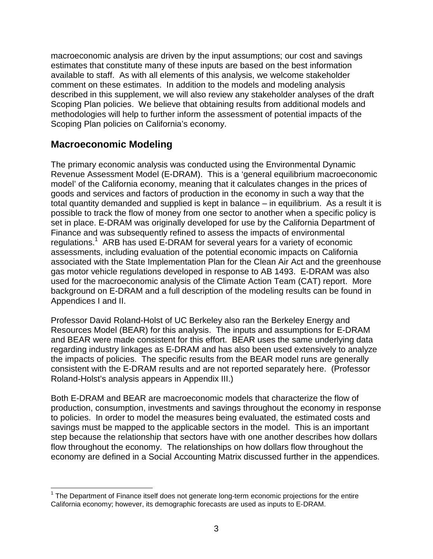macroeconomic analysis are driven by the input assumptions; our cost and savings estimates that constitute many of these inputs are based on the best information available to staff. As with all elements of this analysis, we welcome stakeholder comment on these estimates. In addition to the models and modeling analysis described in this supplement, we will also review any stakeholder analyses of the draft Scoping Plan policies. We believe that obtaining results from additional models and methodologies will help to further inform the assessment of potential impacts of the Scoping Plan policies on California's economy.

#### **Macroeconomic Modeling**

1

 The primary economic analysis was conducted using the Environmental Dynamic Revenue Assessment Model (E-DRAM). This is a 'general equilibrium macroeconomic model' of the California economy, meaning that it calculates changes in the prices of goods and services and factors of production in the economy in such a way that the total quantity demanded and supplied is kept in balance – in equilibrium. As a result it is possible to track the flow of money from one sector to another when a specific policy is set in place. E-DRAM was originally developed for use by the California Department of Finance and was subsequently refined to assess the impacts of environmental regulations.<sup>1</sup> ARB has used E-DRAM for several years for a variety of economic assessments, including evaluation of the potential economic impacts on California associated with the State Implementation Plan for the Clean Air Act and the greenhouse gas motor vehicle regulations developed in response to AB 1493. E-DRAM was also used for the macroeconomic analysis of the Climate Action Team (CAT) report. More background on E-DRAM and a full description of the modeling results can be found in Appendices I and II.

 Professor David Roland-Holst of UC Berkeley also ran the Berkeley Energy and Resources Model (BEAR) for this analysis. The inputs and assumptions for E-DRAM and BEAR were made consistent for this effort. BEAR uses the same underlying data regarding industry linkages as E-DRAM and has also been used extensively to analyze the impacts of policies. The specific results from the BEAR model runs are generally consistent with the E-DRAM results and are not reported separately here. (Professor Roland-Holst's analysis appears in Appendix III.)

 Both E-DRAM and BEAR are macroeconomic models that characterize the flow of production, consumption, investments and savings throughout the economy in response to policies. In order to model the measures being evaluated, the estimated costs and savings must be mapped to the applicable sectors in the model. This is an important step because the relationship that sectors have with one another describes how dollars flow throughout the economy. The relationships on how dollars flow throughout the economy are defined in a Social Accounting Matrix discussed further in the appendices.

 $1$  The Department of Finance itself does not generate long-term economic projections for the entire California economy; however, its demographic forecasts are used as inputs to E-DRAM.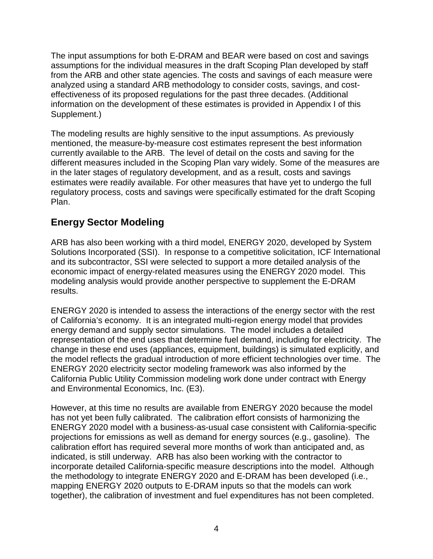The input assumptions for both E-DRAM and BEAR were based on cost and savings assumptions for the individual measures in the draft Scoping Plan developed by staff from the ARB and other state agencies. The costs and savings of each measure were analyzed using a standard ARB methodology to consider costs, savings, and cost- effectiveness of its proposed regulations for the past three decades. (Additional information on the development of these estimates is provided in Appendix I of this Supplement.)

 The modeling results are highly sensitive to the input assumptions. As previously mentioned, the measure-by-measure cost estimates represent the best information currently available to the ARB. The level of detail on the costs and saving for the different measures included in the Scoping Plan vary widely. Some of the measures are in the later stages of regulatory development, and as a result, costs and savings estimates were readily available. For other measures that have yet to undergo the full regulatory process, costs and savings were specifically estimated for the draft Scoping Plan.

#### **Energy Sector Modeling**

 ARB has also been working with a third model, ENERGY 2020, developed by System Solutions Incorporated (SSI). In response to a competitive solicitation, ICF International and its subcontractor, SSI were selected to support a more detailed analysis of the economic impact of energy-related measures using the ENERGY 2020 model. This modeling analysis would provide another perspective to supplement the E-DRAM results.

 ENERGY 2020 is intended to assess the interactions of the energy sector with the rest of California's economy. It is an integrated multi-region energy model that provides energy demand and supply sector simulations. The model includes a detailed representation of the end uses that determine fuel demand, including for electricity. The change in these end uses (appliances, equipment, buildings) is simulated explicitly, and the model reflects the gradual introduction of more efficient technologies over time. The ENERGY 2020 electricity sector modeling framework was also informed by the California Public Utility Commission modeling work done under contract with Energy and Environmental Economics, Inc. (E3).

 However, at this time no results are available from ENERGY 2020 because the model has not yet been fully calibrated. The calibration effort consists of harmonizing the ENERGY 2020 model with a business-as-usual case consistent with California-specific projections for emissions as well as demand for energy sources (e.g., gasoline). The calibration effort has required several more months of work than anticipated and, as indicated, is still underway. ARB has also been working with the contractor to incorporate detailed California-specific measure descriptions into the model. Although the methodology to integrate ENERGY 2020 and E-DRAM has been developed (i.e., mapping ENERGY 2020 outputs to E-DRAM inputs so that the models can work together), the calibration of investment and fuel expenditures has not been completed.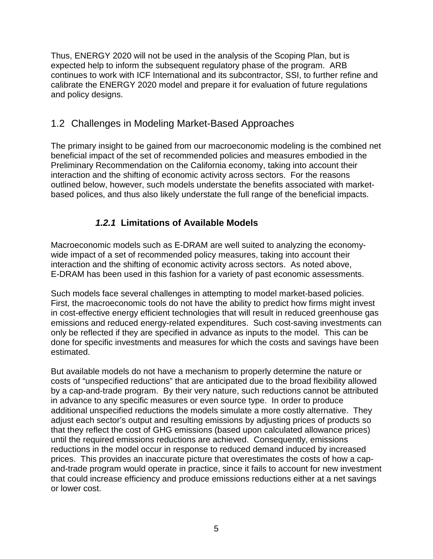<span id="page-12-0"></span> Thus, ENERGY 2020 will not be used in the analysis of the Scoping Plan, but is expected help to inform the subsequent regulatory phase of the program. ARB continues to work with ICF International and its subcontractor, SSI, to further refine and calibrate the ENERGY 2020 model and prepare it for evaluation of future regulations and policy designs.

#### 1.2 Challenges in Modeling Market-Based Approaches

 The primary insight to be gained from our macroeconomic modeling is the combined net beneficial impact of the set of recommended policies and measures embodied in the Preliminary Recommendation on the California economy, taking into account their interaction and the shifting of economic activity across sectors. For the reasons outlined below, however, such models understate the benefits associated with market-based polices, and thus also likely understate the full range of the beneficial impacts.

#### **1.2.1 Limitations of Available Models**

 Macroeconomic models such as E-DRAM are well suited to analyzing the economy- wide impact of a set of recommended policy measures, taking into account their interaction and the shifting of economic activity across sectors. As noted above, E-DRAM has been used in this fashion for a variety of past economic assessments.

 Such models face several challenges in attempting to model market-based policies. First, the macroeconomic tools do not have the ability to predict how firms might invest in cost-effective energy efficient technologies that will result in reduced greenhouse gas emissions and reduced energy-related expenditures. Such cost-saving investments can only be reflected if they are specified in advance as inputs to the model. This can be done for specific investments and measures for which the costs and savings have been estimated.

estimated.<br>But available models do not have a mechanism to properly determine the nature or costs of "unspecified reductions" that are anticipated due to the broad flexibility allowed by a cap-and-trade program. By their very nature, such reductions cannot be attributed in advance to any specific measures or even source type. In order to produce additional unspecified reductions the models simulate a more costly alternative. They adjust each sector's output and resulting emissions by adjusting prices of products so that they reflect the cost of GHG emissions (based upon calculated allowance prices) until the required emissions reductions are achieved. Consequently, emissions reductions in the model occur in response to reduced demand induced by increased prices. This provides an inaccurate picture that overestimates the costs of how a cap- and-trade program would operate in practice, since it fails to account for new investment that could increase efficiency and produce emissions reductions either at a net savings or lower cost.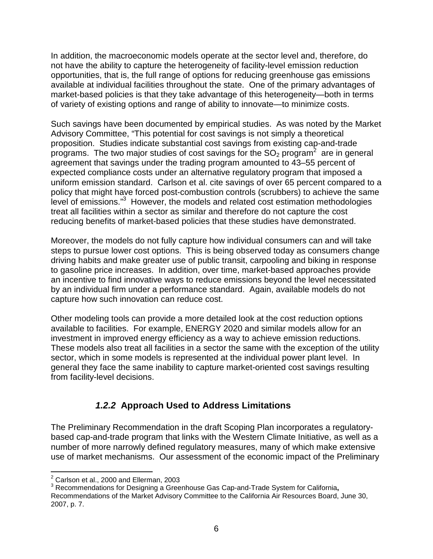<span id="page-13-0"></span> In addition, the macroeconomic models operate at the sector level and, therefore, do not have the ability to capture the heterogeneity of facility-level emission reduction opportunities, that is, the full range of options for reducing greenhouse gas emissions available at individual facilities throughout the state. One of the primary advantages of market-based policies is that they take advantage of this heterogeneity—both in terms of variety of existing options and range of ability to innovate—to minimize costs.

 Such savings have been documented by empirical studies. As was noted by the Market Advisory Committee, "This potential for cost savings is not simply a theoretical proposition. Studies indicate substantial cost savings from existing cap-and-trade programs. The two major studies of cost savings for the  $SO<sub>2</sub>$  program<sup>2</sup> are in general agreement that savings under the trading program amounted to 43–55 percent of expected compliance costs under an alternative regulatory program that imposed a uniform emission standard. Carlson et al. cite savings of over 65 percent compared to a policy that might have forced post-combustion controls (scrubbers) to achieve the same level of emissions."3 However, the models and related cost estimation methodologies treat all facilities within a sector as similar and therefore do not capture the cost reducing benefits of market-based policies that these studies have demonstrated.

 Moreover, the models do not fully capture how individual consumers can and will take steps to pursue lower cost options. This is being observed today as consumers change driving habits and make greater use of public transit, carpooling and biking in response to gasoline price increases. In addition, over time, market-based approaches provide an incentive to find innovative ways to reduce emissions beyond the level necessitated by an individual firm under a performance standard. Again, available models do not capture how such innovation can reduce cost.

 Other modeling tools can provide a more detailed look at the cost reduction options available to facilities. For example, ENERGY 2020 and similar models allow for an investment in improved energy efficiency as a way to achieve emission reductions. These models also treat all facilities in a sector the same with the exception of the utility sector, which in some models is represented at the individual power plant level. In general they face the same inability to capture market-oriented cost savings resulting from facility-level decisions.

#### **1.2.2 Approach Used to Address Limitations**

 The Preliminary Recommendation in the draft Scoping Plan incorporates a regulatory- based cap-and-trade program that links with the Western Climate Initiative, as well as a number of more narrowly defined regulatory measures, many of which make extensive use of market mechanisms. Our assessment of the economic impact of the Preliminary

 $\overline{a}$  $2$  Carlson et al., 2000 and Ellerman, 2003

 3 Recommendations for Designing a Greenhouse Gas Cap-and-Trade System for California**,**  Recommendations of the Market Advisory Committee to the California Air Resources Board, June 30, 2007, p. 7.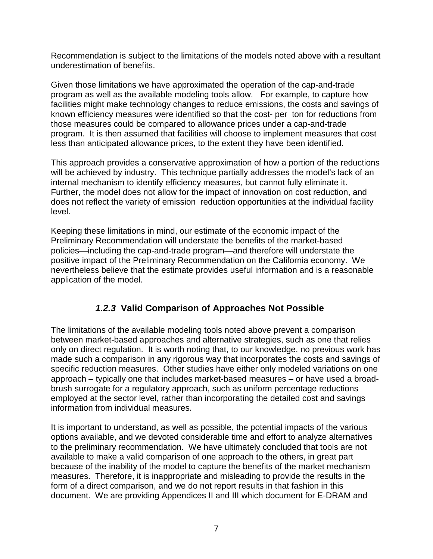<span id="page-14-0"></span> Recommendation is subject to the limitations of the models noted above with a resultant underestimation of benefits.

 Given those limitations we have approximated the operation of the cap-and-trade program as well as the available modeling tools allow. For example, to capture how facilities might make technology changes to reduce emissions, the costs and savings of known efficiency measures were identified so that the cost- per ton for reductions from those measures could be compared to allowance prices under a cap-and-trade program. It is then assumed that facilities will choose to implement measures that cost less than anticipated allowance prices, to the extent they have been identified.

 This approach provides a conservative approximation of how a portion of the reductions will be achieved by industry. This technique partially addresses the model's lack of an internal mechanism to identify efficiency measures, but cannot fully eliminate it. Further, the model does not allow for the impact of innovation on cost reduction, and does not reflect the variety of emission reduction opportunities at the individual facility level.

 Keeping these limitations in mind, our estimate of the economic impact of the Preliminary Recommendation will understate the benefits of the market-based policies—including the cap-and-trade program—and therefore will understate the positive impact of the Preliminary Recommendation on the California economy. We nevertheless believe that the estimate provides useful information and is a reasonable application of the model.

#### **1.2.3 Valid Comparison of Approaches Not Possible**

 The limitations of the available modeling tools noted above prevent a comparison between market-based approaches and alternative strategies, such as one that relies only on direct regulation. It is worth noting that, to our knowledge, no previous work has made such a comparison in any rigorous way that incorporates the costs and savings of specific reduction measures. Other studies have either only modeled variations on one approach – typically one that includes market-based measures – or have used a broad- brush surrogate for a regulatory approach, such as uniform percentage reductions employed at the sector level, rather than incorporating the detailed cost and savings information from individual measures.

 It is important to understand, as well as possible, the potential impacts of the various options available, and we devoted considerable time and effort to analyze alternatives to the preliminary recommendation. We have ultimately concluded that tools are not available to make a valid comparison of one approach to the others, in great part because of the inability of the model to capture the benefits of the market mechanism measures. Therefore, it is inappropriate and misleading to provide the results in the form of a direct comparison, and we do not report results in that fashion in this document. We are providing Appendices II and III which document for E-DRAM and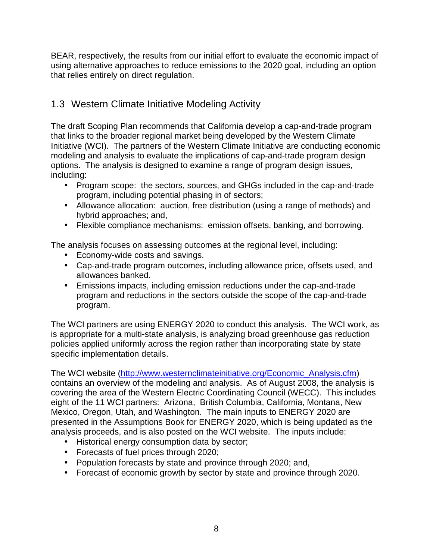<span id="page-15-0"></span> BEAR, respectively, the results from our initial effort to evaluate the economic impact of using alternative approaches to reduce emissions to the 2020 goal, including an option that relies entirely on direct regulation.

#### 1.3 Western Climate Initiative Modeling Activity

 The draft Scoping Plan recommends that California develop a cap-and-trade program that links to the broader regional market being developed by the Western Climate Initiative (WCI). The partners of the Western Climate Initiative are conducting economic modeling and analysis to evaluate the implications of cap-and-trade program design options. The analysis is designed to examine a range of program design issues, including:

- • Program scope: the sectors, sources, and GHGs included in the cap-and-trade program, including potential phasing in of sectors;
- • Allowance allocation: auction, free distribution (using a range of methods) and hybrid approaches; and,
- Flexible compliance mechanisms: emission offsets, banking, and borrowing.

The analysis focuses on assessing outcomes at the regional level, including:

- Economy-wide costs and savings.
- • Cap-and-trade program outcomes, including allowance price, offsets used, and allowances banked.
- • Emissions impacts, including emission reductions under the cap-and-trade program and reductions in the sectors outside the scope of the cap-and-trade program.

 The WCI partners are using ENERGY 2020 to conduct this analysis. The WCI work, as is appropriate for a multi-state analysis, is analyzing broad greenhouse gas reduction policies applied uniformly across the region rather than incorporating state by state specific implementation details.

The WCI website ([http://www.westernclimateinitiative.org/Economic\\_Analysis.cfm](http://www.westernclimateinitiative.org/Economic_Analysis.cfm)) contains an overview of the modeling and analysis. As of August 2008, the analysis is covering the area of the Western Electric Coordinating Council (WECC). This includes eight of the 11 WCI partners: Arizona, British Columbia, California, Montana, New Mexico, Oregon, Utah, and Washington. The main inputs to ENERGY 2020 are presented in the Assumptions Book for ENERGY 2020, which is being updated as the analysis proceeds, and is also posted on the WCI website. The inputs include:

- Historical energy consumption data by sector;
- Forecasts of fuel prices through 2020;
- Population forecasts by state and province through 2020; and,
- Forecast of economic growth by sector by state and province through 2020.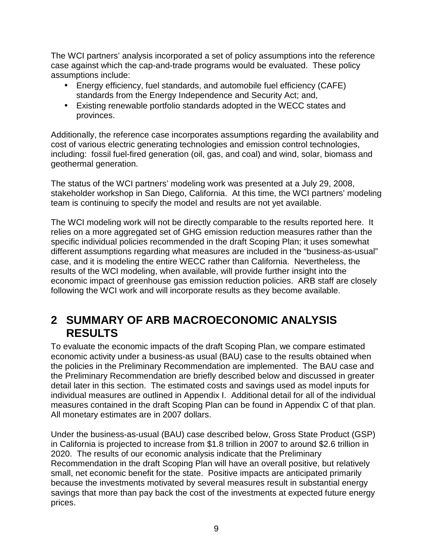<span id="page-16-0"></span> The WCI partners' analysis incorporated a set of policy assumptions into the reference case against which the cap-and-trade programs would be evaluated. These policy assumptions include:

- • Energy efficiency, fuel standards, and automobile fuel efficiency (CAFE) standards from the Energy Independence and Security Act; and,
- • Existing renewable portfolio standards adopted in the WECC states and provinces.

 Additionally, the reference case incorporates assumptions regarding the availability and cost of various electric generating technologies and emission control technologies, including: fossil fuel-fired generation (oil, gas, and coal) and wind, solar, biomass and geothermal generation.

geothermal generation.<br>The status of the WCI partners' modeling work was presented at a July 29, 2008, stakeholder workshop in San Diego, California. At this time, the WCI partners' modeling team is continuing to specify the model and results are not yet available.

 The WCI modeling work will not be directly comparable to the results reported here. It relies on a more aggregated set of GHG emission reduction measures rather than the specific individual policies recommended in the draft Scoping Plan; it uses somewhat different assumptions regarding what measures are included in the "business-as-usual" case, and it is modeling the entire WECC rather than California. Nevertheless, the results of the WCI modeling, when available, will provide further insight into the economic impact of greenhouse gas emission reduction policies. ARB staff are closely following the WCI work and will incorporate results as they become available.

# **2 SUMMARY OF ARB MACROECONOMIC ANALYSIS RESULTS**

 To evaluate the economic impacts of the draft Scoping Plan, we compare estimated economic activity under a business-as usual (BAU) case to the results obtained when the policies in the Preliminary Recommendation are implemented. The BAU case and the Preliminary Recommendation are briefly described below and discussed in greater detail later in this section. The estimated costs and savings used as model inputs for individual measures are outlined in Appendix I. Additional detail for all of the individual measures contained in the draft Scoping Plan can be found in Appendix C of that plan. All monetary estimates are in 2007 dollars.

 Under the business-as-usual (BAU) case described below, Gross State Product (GSP) in California is projected to increase from \$1.8 trillion in 2007 to around \$2.6 trillion in 2020. The results of our economic analysis indicate that the Preliminary Recommendation in the draft Scoping Plan will have an overall positive, but relatively small, net economic benefit for the state. Positive impacts are anticipated primarily because the investments motivated by several measures result in substantial energy savings that more than pay back the cost of the investments at expected future energy prices.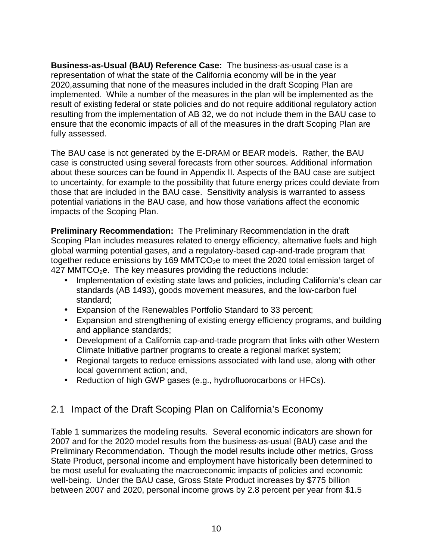<span id="page-17-0"></span> **Business-as-Usual (BAU) Reference Case:** The business-as-usual case is a representation of what the state of the California economy will be in the year 2020,assuming that none of the measures included in the draft Scoping Plan are implemented. While a number of the measures in the plan will be implemented as the result of existing federal or state policies and do not require additional regulatory action resulting from the implementation of AB 32, we do not include them in the BAU case to ensure that the economic impacts of all of the measures in the draft Scoping Plan are fully assessed.

 The BAU case is not generated by the E-DRAM or BEAR models. Rather, the BAU case is constructed using several forecasts from other sources. Additional information about these sources can be found in Appendix II. Aspects of the BAU case are subject to uncertainty, for example to the possibility that future energy prices could deviate from those that are included in the BAU case. Sensitivity analysis is warranted to assess potential variations in the BAU case, and how those variations affect the economic impacts of the Scoping Plan.

 **Preliminary Recommendation:** The Preliminary Recommendation in the draft Scoping Plan includes measures related to energy efficiency, alternative fuels and high global warming potential gases, and a regulatory-based cap-and-trade program that together reduce emissions by 169 MMTCO<sub>2</sub>e to meet the 2020 total emission target of  $427$  MMTCO<sub>2</sub>e. The key measures providing the reductions include:

- • Implementation of existing state laws and policies, including California's clean car standards (AB 1493), goods movement measures, and the low-carbon fuel standard;
- Expansion of the Renewables Portfolio Standard to 33 percent;
- • Expansion and strengthening of existing energy efficiency programs, and building and appliance standards;
- • Development of a California cap-and-trade program that links with other Western Climate Initiative partner programs to create a regional market system;
- • Regional targets to reduce emissions associated with land use, along with other local government action; and,
- Reduction of high GWP gases (e.g., hydrofluorocarbons or HFCs).

#### 2.1 Impact of the Draft Scoping Plan on California's Economy

 Table 1 summarizes the modeling results. Several economic indicators are shown for 2007 and for the 2020 model results from the business-as-usual (BAU) case and the Preliminary Recommendation. Though the model results include other metrics, Gross State Product, personal income and employment have historically been determined to be most useful for evaluating the macroeconomic impacts of policies and economic well-being. Under the BAU case, Gross State Product increases by \$775 billion between 2007 and 2020, personal income grows by 2.8 percent per year from \$1.5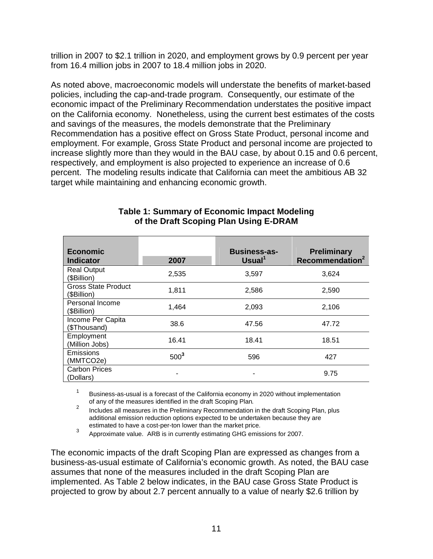trillion in 2007 to \$2.1 trillion in 2020, and employment grows by 0.9 percent per year from 16.4 million jobs in 2007 to 18.4 million jobs in 2020.

 As noted above, macroeconomic models will understate the benefits of market-based policies, including the cap-and-trade program. Consequently, our estimate of the economic impact of the Preliminary Recommendation understates the positive impact on the California economy. Nonetheless, using the current best estimates of the costs and savings of the measures, the models demonstrate that the Preliminary Recommendation has a positive effect on Gross State Product, personal income and employment. For example, Gross State Product and personal income are projected to increase slightly more than they would in the BAU case, by about 0.15 and 0.6 percent, respectively, and employment is also projected to experience an increase of 0.6 percent. The modeling results indicate that California can meet the ambitious AB 32 target while maintaining and enhancing economic growth.

| <b>Economic</b><br><b>Indicator</b>       | 2007             | <b>Business-as-</b><br>Usual <sup>1</sup> | <b>Preliminary</b><br>Recommendation <sup>2</sup> |
|-------------------------------------------|------------------|-------------------------------------------|---------------------------------------------------|
| <b>Real Output</b><br>(\$Billion)         | 2,535            | 3,597                                     | 3,624                                             |
| <b>Gross State Product</b><br>(\$Billion) | 1,811            | 2,586                                     | 2,590                                             |
| Personal Income<br>(\$Billion)            | 1,464            | 2,093                                     | 2,106                                             |
| Income Per Capita<br>(\$Thousand)         | 38.6             | 47.56                                     | 47.72                                             |
| Employment<br>(Million Jobs)              | 16.41            | 18.41                                     | 18.51                                             |
| Emissions<br>(MMTCO2e)                    | 500 <sup>3</sup> | 596                                       | 427                                               |
| <b>Carbon Prices</b><br>(Dollars)         |                  |                                           | 9.75                                              |

#### **Table 1: Summary of Economic Impact Modeling of the Draft Scoping Plan Using E-DRAM**

 $\mathbf{1}$ of any of the measures identified in the draft Scoping Plan. 1 Business-as-usual is a forecast of the California economy in 2020 without implementation

of any of the measures identified in the draft Scoping Plan.<br><sup>2</sup> Includes all measures in the Preliminary Recommendation in the draft Scoping Plan, plus additional emission reduction options expected to be undertaken because they are estimated to have a cost-per-ton lower than the market price.

 $3$  Approximate value. ARB is in currently estimating GHG emissions for 2007.

 The economic impacts of the draft Scoping Plan are expressed as changes from a business-as-usual estimate of California's economic growth. As noted, the BAU case assumes that none of the measures included in the draft Scoping Plan are implemented. As Table 2 below indicates, in the BAU case Gross State Product is projected to grow by about 2.7 percent annually to a value of nearly \$2.6 trillion by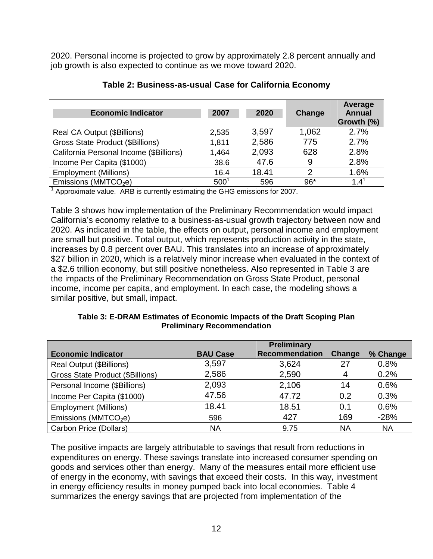2020. Personal income is projected to grow by approximately 2.8 percent annually and job growth is also expected to continue as we move toward 2020.

| <b>Economic Indicator</b>               | 2007    | 2020  | Change | Average<br><b>Annual</b><br>Growth (%) |
|-----------------------------------------|---------|-------|--------|----------------------------------------|
| Real CA Output (\$Billions)             | 2,535   | 3,597 | 1,062  | 2.7%                                   |
| <b>Gross State Product (\$Billions)</b> | 1,811   | 2,586 | 775    | 2.7%                                   |
| California Personal Income (\$Billions) | 1,464   | 2,093 | 628    | 2.8%                                   |
| Income Per Capita (\$1000)              | 38.6    | 47.6  | 9      | 2.8%                                   |
| <b>Employment (Millions)</b>            | 16.4    | 18.41 | 2      | 1.6%                                   |
| Emissions (MMTCO <sub>2</sub> e)        | $500^1$ | 596   | $96*$  | 1.4                                    |

| Table 2: Business-as-usual Case for California Economy |  |  |  |
|--------------------------------------------------------|--|--|--|
|--------------------------------------------------------|--|--|--|

 $1$  Approximate value. ARB is currently estimating the GHG emissions for 2007.

 Table 3 shows how implementation of the Preliminary Recommendation would impact California's economy relative to a business-as-usual growth trajectory between now and 2020. As indicated in the table, the effects on output, personal income and employment are small but positive. Total output, which represents production activity in the state, increases by 0.8 percent over BAU. This translates into an increase of approximately \$27 billion in 2020, which is a relatively minor increase when evaluated in the context of a \$2.6 trillion economy, but still positive nonetheless. Also represented in Table 3 are the impacts of the Preliminary Recommendation on Gross State Product, personal income, income per capita, and employment. In each case, the modeling shows a similar positive, but small, impact.

|                                         |                 | <b>Preliminary</b>    |        |          |
|-----------------------------------------|-----------------|-----------------------|--------|----------|
| <b>Economic Indicator</b>               | <b>BAU Case</b> | <b>Recommendation</b> | Change | % Change |
| Real Output (\$Billions)                | 3,597           | 3,624                 | 27     | 0.8%     |
| <b>Gross State Product (\$Billions)</b> | 2,586           | 2,590                 | 4      | 0.2%     |
| Personal Income (\$Billions)            | 2,093           | 2,106                 | 14     | 0.6%     |
| Income Per Capita (\$1000)              | 47.56           | 47.72                 | 0.2    | 0.3%     |
| <b>Employment (Millions)</b>            | 18.41           | 18.51                 | 0.1    | 0.6%     |
| Emissions (MMTCO <sub>2</sub> e)        | 596             | 427                   | 169    | $-28%$   |

Carbon Price (Dollars) NA 9.75 NA NA

 **Table 3: E-DRAM Estimates of Economic Impacts of the Draft Scoping Plan Preliminary Recommendation** 

 The positive impacts are largely attributable to savings that result from reductions in expenditures on energy. These savings translate into increased consumer spending on goods and services other than energy. Many of the measures entail more efficient use of energy in the economy, with savings that exceed their costs. In this way, investment in energy efficiency results in money pumped back into local economies. Table 4 summarizes the energy savings that are projected from implementation of the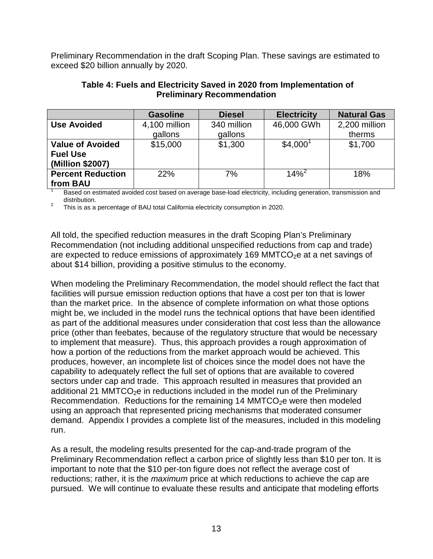Preliminary Recommendation in the draft Scoping Plan. These savings are estimated to exceed \$20 billion annually by 2020.

| <b>Preliminary Recommendation</b>                              |                          |                        |                      |                         |  |  |  |  |  |
|----------------------------------------------------------------|--------------------------|------------------------|----------------------|-------------------------|--|--|--|--|--|
|                                                                | <b>Gasoline</b>          | <b>Diesel</b>          | <b>Electricity</b>   | <b>Natural Gas</b>      |  |  |  |  |  |
| <b>Use Avoided</b>                                             | 4,100 million<br>gallons | 340 million<br>gallons | 46,000 GWh           | 2,200 million<br>therms |  |  |  |  |  |
| <b>Value of Avoided</b><br><b>Fuel Use</b><br>(Million \$2007) | \$15,000                 | \$1,300                | \$4,000 <sup>1</sup> | \$1,700                 |  |  |  |  |  |
| <b>Percent Reduction</b><br>from BAU                           | 22%                      | 7%                     | $14\%^2$             | 18%                     |  |  |  |  |  |

# **Table 4: Fuels and Electricity Saved in 2020 from Implementation of**

distribution. Based on estimated avoided cost based on average base-load electricity, including generation, transmission and

 $\overline{2}$ This is as a percentage of BAU total California electricity consumption in 2020.

 All told, the specified reduction measures in the draft Scoping Plan's Preliminary Recommendation (not including additional unspecified reductions from cap and trade) are expected to reduce emissions of approximately 169 MMTCO<sub>2</sub>e at a net savings of about \$14 billion, providing a positive stimulus to the economy.

 When modeling the Preliminary Recommendation, the model should reflect the fact that facilities will pursue emission reduction options that have a cost per ton that is lower than the market price. In the absence of complete information on what those options might be, we included in the model runs the technical options that have been identified as part of the additional measures under consideration that cost less than the allowance price (other than feebates, because of the regulatory structure that would be necessary to implement that measure). Thus, this approach provides a rough approximation of how a portion of the reductions from the market approach would be achieved. This produces, however, an incomplete list of choices since the model does not have the capability to adequately reflect the full set of options that are available to covered sectors under cap and trade. This approach resulted in measures that provided an additional 21 MMTCO<sub>2</sub>e in reductions included in the model run of the Preliminary Recommendation. Reductions for the remaining 14 MMTCO<sub>2</sub>e were then modeled using an approach that represented pricing mechanisms that moderated consumer demand. Appendix I provides a complete list of the measures, included in this modeling run.

run.<br>As a result, the modeling results presented for the cap-and-trade program of the Preliminary Recommendation reflect a carbon price of slightly less than \$10 per ton. It is important to note that the \$10 per-ton figure does not reflect the average cost of reductions; rather, it is the *maximum* price at which reductions to achieve the cap are pursued. We will continue to evaluate these results and anticipate that modeling efforts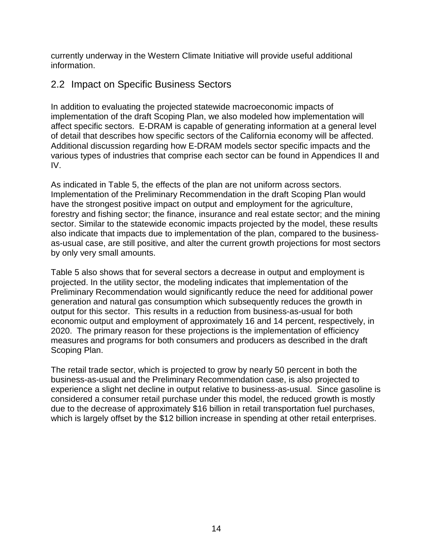<span id="page-21-0"></span> currently underway in the Western Climate Initiative will provide useful additional information.

# information.<br>2.2 Impact on Specific Business Sectors

 In addition to evaluating the projected statewide macroeconomic impacts of implementation of the draft Scoping Plan, we also modeled how implementation will affect specific sectors. E-DRAM is capable of generating information at a general level of detail that describes how specific sectors of the California economy will be affected. Additional discussion regarding how E-DRAM models sector specific impacts and the various types of industries that comprise each sector can be found in Appendices II and IV.

 As indicated in Table 5, the effects of the plan are not uniform across sectors. Implementation of the Preliminary Recommendation in the draft Scoping Plan would have the strongest positive impact on output and employment for the agriculture, forestry and fishing sector; the finance, insurance and real estate sector; and the mining sector. Similar to the statewide economic impacts projected by the model, these results also indicate that impacts due to implementation of the plan, compared to the business- as-usual case, are still positive, and alter the current growth projections for most sectors by only very small amounts.

 Table 5 also shows that for several sectors a decrease in output and employment is projected. In the utility sector, the modeling indicates that implementation of the Preliminary Recommendation would significantly reduce the need for additional power generation and natural gas consumption which subsequently reduces the growth in output for this sector. This results in a reduction from business-as-usual for both economic output and employment of approximately 16 and 14 percent, respectively, in 2020. The primary reason for these projections is the implementation of efficiency measures and programs for both consumers and producers as described in the draft Scoping Plan.

 The retail trade sector, which is projected to grow by nearly 50 percent in both the business-as-usual and the Preliminary Recommendation case, is also projected to experience a slight net decline in output relative to business-as-usual. Since gasoline is considered a consumer retail purchase under this model, the reduced growth is mostly due to the decrease of approximately \$16 billion in retail transportation fuel purchases, which is largely offset by the \$12 billion increase in spending at other retail enterprises.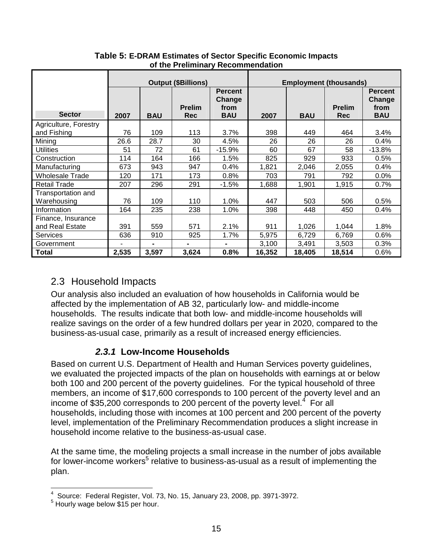|                                   | <b>Output (\$Billions)</b> |                |                             |                                                | <b>Employment (thousands)</b> |            |                             |                                                |
|-----------------------------------|----------------------------|----------------|-----------------------------|------------------------------------------------|-------------------------------|------------|-----------------------------|------------------------------------------------|
| <b>Sector</b>                     | 2007                       | <b>BAU</b>     | <b>Prelim</b><br><b>Rec</b> | <b>Percent</b><br>Change<br>from<br><b>BAU</b> | 2007                          | <b>BAU</b> | <b>Prelim</b><br><b>Rec</b> | <b>Percent</b><br>Change<br>from<br><b>BAU</b> |
| Agriculture, Forestry             |                            |                |                             |                                                |                               |            |                             |                                                |
| and Fishing                       | 76                         | 109            | 113                         | 3.7%                                           | 398                           | 449        | 464                         | 3.4%                                           |
| Mining                            | 26.6                       | 28.7           | 30                          | 4.5%                                           | 26                            | 26         | 26                          | 0.4%                                           |
| <b>Utilities</b>                  | 51                         | 72             | 61                          | $-15.9%$                                       | 60                            | 67         | 58                          | $-13.8%$                                       |
| Construction                      | 114                        | 164            | 166                         | 1.5%                                           | 825                           | 929        | 933                         | 0.5%                                           |
| Manufacturing                     | 673                        | 943            | 947                         | 0.4%                                           | 1,821                         | 2,046      | 2,055                       | 0.4%                                           |
| <b>Wholesale Trade</b>            | 120                        | 171            | 173                         | 0.8%                                           | 703                           | 791        | 792                         | $0.0\%$                                        |
| <b>Retail Trade</b>               | 207                        | 296            | 291                         | $-1.5%$                                        | 1,688                         | 1,901      | 1,915                       | 0.7%                                           |
| Transportation and<br>Warehousing | 76                         | 109            | 110                         | 1.0%                                           | 447                           | 503        | 506                         | 0.5%                                           |
| Information                       | 164                        | 235            | 238                         | 1.0%                                           | 398                           | 448        | 450                         | 0.4%                                           |
| Finance, Insurance                |                            |                |                             |                                                |                               |            |                             |                                                |
| and Real Estate                   | 391                        | 559            | 571                         | 2.1%                                           | 911                           | 1,026      | 1,044                       | 1.8%                                           |
| <b>Services</b>                   | 636                        | 910            | 925                         | 1.7%                                           | 5,975                         | 6,729      | 6,769                       | 0.6%                                           |
| Government                        | ٠                          | $\blacksquare$ | $\blacksquare$              | $\blacksquare$                                 | 3,100                         | 3,491      | 3,503                       | 0.3%                                           |
| <b>Total</b>                      | 2,535                      | 3,597          | 3,624                       | 0.8%                                           | 16,352                        | 18,405     | 18,514                      | 0.6%                                           |

 **Table 5: E-DRAM Estimates of Sector Specific Economic Impacts of the Preliminary Recommendation** 

#### 2.3 Household Impacts

 Our analysis also included an evaluation of how households in California would be affected by the implementation of AB 32, particularly low- and middle-income households. The results indicate that both low- and middle-income households will realize savings on the order of a few hundred dollars per year in 2020, compared to the business-as-usual case, primarily as a result of increased energy efficiencies.

#### **2.3.1 Low-Income Households**

 Based on current U.S. Department of Health and Human Services poverty guidelines, we evaluated the projected impacts of the plan on households with earnings at or below both 100 and 200 percent of the poverty guidelines. For the typical household of three members, an income of \$17,600 corresponds to 100 percent of the poverty level and an income of \$35,200 corresponds to 200 percent of the poverty level.<sup>4</sup> For all households, including those with incomes at 100 percent and 200 percent of the poverty level, implementation of the Preliminary Recommendation produces a slight increase in household income relative to the business-as-usual case.

 At the same time, the modeling projects a small increase in the number of jobs available for lower-income workers<sup>5</sup> relative to business-as-usual as a result of implementing the plan.

 $\overline{a}$  $^4\,$  Source: Federal Register, Vol. 73, No. 15, January 23, 2008, pp. 3971-3972.<br> $^5\,$ Hourly wage below \$15 per hour.

 $5$  Hourly wage below  $$15$  per hour.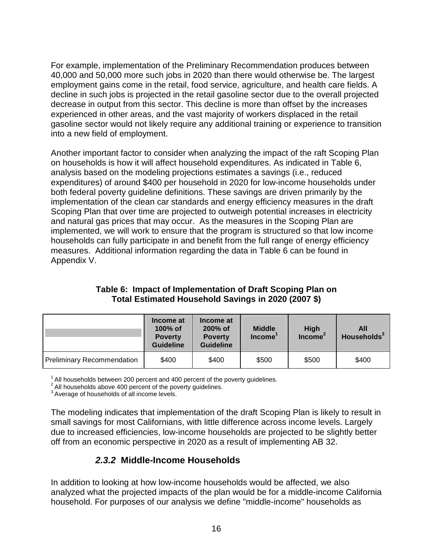For example, implementation of the Preliminary Recommendation produces between 40,000 and 50,000 more such jobs in 2020 than there would otherwise be. The largest employment gains come in the retail, food service, agriculture, and health care fields. A decline in such jobs is projected in the retail gasoline sector due to the overall projected decrease in output from this sector. This decline is more than offset by the increases experienced in other areas, and the vast majority of workers displaced in the retail gasoline sector would not likely require any additional training or experience to transition into a new field of employment.

 Another important factor to consider when analyzing the impact of the raft Scoping Plan on households is how it will affect household expenditures. As indicated in Table 6, analysis based on the modeling projections estimates a savings (i.e., reduced expenditures) of around \$400 per household in 2020 for low-income households under both federal poverty guideline definitions. These savings are driven primarily by the implementation of the clean car standards and energy efficiency measures in the draft Scoping Plan that over time are projected to outweigh potential increases in electricity and natural gas prices that may occur. As the measures in the Scoping Plan are implemented, we will work to ensure that the program is structured so that low income households can fully participate in and benefit from the full range of energy efficiency measures. Additional information regarding the data in Table 6 can be found in Appendix V.

| Table 6: Impact of Implementation of Draft Scoping Plan on |
|------------------------------------------------------------|
| Total Estimated Household Savings in 2020 (2007 \$)        |

|                                   | Income at<br>$100\%$ of<br><b>Poverty</b><br><b>Guideline</b> | Income at<br>$200\%$ of<br><b>Poverty</b><br><b>Guideline</b> | <b>Middle</b><br>Income <sup>'</sup> | <b>High</b><br><b>Income</b> | All<br>Households <sup>3</sup> |
|-----------------------------------|---------------------------------------------------------------|---------------------------------------------------------------|--------------------------------------|------------------------------|--------------------------------|
| <b>Preliminary Recommendation</b> | \$400                                                         | \$400                                                         | \$500                                | \$500                        | \$400                          |

 $1$  All households between 200 percent and 400 percent of the poverty guidelines.

 $2$  All households above 400 percent of the poverty guidelines.

 $3$  Average of households of all income levels.

 The modeling indicates that implementation of the draft Scoping Plan is likely to result in small savings for most Californians, with little difference across income levels. Largely due to increased efficiencies, low-income households are projected to be slightly better off from an economic perspective in 2020 as a result of implementing AB 32.

#### **2.3.2 Middle-Income Households**

 In addition to looking at how low-income households would be affected, we also analyzed what the projected impacts of the plan would be for a middle-income California household. For purposes of our analysis we define "middle-income" households as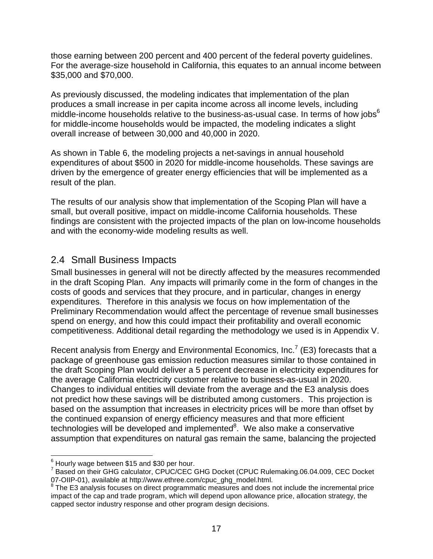<span id="page-24-0"></span> those earning between 200 percent and 400 percent of the federal poverty guidelines. For the average-size household in California, this equates to an annual income between \$35,000 and \$70,000.

 As previously discussed, the modeling indicates that implementation of the plan produces a small increase in per capita income across all income levels, including middle-income households relative to the business-as-usual case. In terms of how jobs $^6$  for middle-income households would be impacted, the modeling indicates a slight overall increase of between 30,000 and 40,000 in 2020.

 As shown in Table 6, the modeling projects a net-savings in annual household expenditures of about \$500 in 2020 for middle-income households. These savings are driven by the emergence of greater energy efficiencies that will be implemented as a result of the plan.

 The results of our analysis show that implementation of the Scoping Plan will have a small, but overall positive, impact on middle-income California households. These findings are consistent with the projected impacts of the plan on low-income households and with the economy-wide modeling results as well.

#### 2.4 Small Business Impacts

 Small businesses in general will not be directly affected by the measures recommended in the draft Scoping Plan. Any impacts will primarily come in the form of changes in the costs of goods and services that they procure, and in particular, changes in energy expenditures. Therefore in this analysis we focus on how implementation of the Preliminary Recommendation would affect the percentage of revenue small businesses spend on energy, and how this could impact their profitability and overall economic competitiveness. Additional detail regarding the methodology we used is in Appendix V.

Recent analysis from Energy and Environmental Economics, Inc.<sup>7</sup> (E3) forecasts that a package of greenhouse gas emission reduction measures similar to those contained in the draft Scoping Plan would deliver a 5 percent decrease in electricity expenditures for the average California electricity customer relative to business-as-usual in 2020. Changes to individual entities will deviate from the average and the E3 analysis does not predict how these savings will be distributed among customers. This projection is based on the assumption that increases in electricity prices will be more than offset by the continued expansion of energy efficiency measures and that more efficient technologies will be developed and implemented $8$ . We also make a conservative assumption that expenditures on natural gas remain the same, balancing the projected

<sup>1</sup>  $^6$  Hourly wage between \$15 and \$30 per hour.

 7 Based on their GHG calculator, CPUC/CEC GHG Docket (CPUC Rulemaking.06.04.009, CEC Docket 07-OIIP-01), available at http://www.ethree.com/cpuc\_ghg\_model.html.

<sup>07-</sup>OIIP-01), available at [http://www.ethree.com/cpuc\\_ghg\\_model.html](http://www.ethree.com/cpuc_ghg_model.html).<br><sup>8</sup> The E3 analysis focuses on direct programmatic measures and does not include the incremental price impact of the cap and trade program, which will depend upon allowance price, allocation strategy, the capped sector industry response and other program design decisions.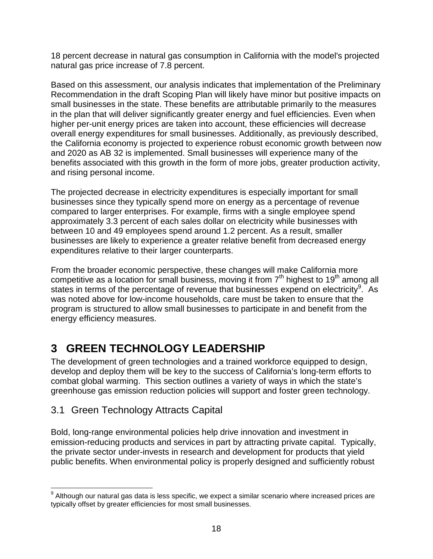<span id="page-25-0"></span> 18 percent decrease in natural gas consumption in California with the model's projected natural gas price increase of 7.8 percent.

 Based on this assessment, our analysis indicates that implementation of the Preliminary Recommendation in the draft Scoping Plan will likely have minor but positive impacts on small businesses in the state. These benefits are attributable primarily to the measures in the plan that will deliver significantly greater energy and fuel efficiencies. Even when higher per-unit energy prices are taken into account, these efficiencies will decrease overall energy expenditures for small businesses. Additionally, as previously described, the California economy is projected to experience robust economic growth between now and 2020 as AB 32 is implemented. Small businesses will experience many of the benefits associated with this growth in the form of more jobs, greater production activity, and rising personal income.

 The projected decrease in electricity expenditures is especially important for small businesses since they typically spend more on energy as a percentage of revenue compared to larger enterprises. For example, firms with a single employee spend approximately 3.3 percent of each sales dollar on electricity while businesses with between 10 and 49 employees spend around 1.2 percent. As a result, smaller businesses are likely to experience a greater relative benefit from decreased energy expenditures relative to their larger counterparts.

 From the broader economic perspective, these changes will make California more competitive as a location for small business, moving it from  $7<sup>th</sup>$  highest to 19<sup>th</sup> among all states in terms of the percentage of revenue that businesses expend on electricity<sup>9</sup>. As was noted above for low-income households, care must be taken to ensure that the program is structured to allow small businesses to participate in and benefit from the energy efficiency measures.

#### $\mathbf{3}$ **3 GREEN TECHNOLOGY LEADERSHIP**

 The development of green technologies and a trained workforce equipped to design, develop and deploy them will be key to the success of California's long-term efforts to combat global warming. This section outlines a variety of ways in which the state's greenhouse gas emission reduction policies will support and foster green technology.

#### 3.1 Green Technology Attracts Capital

 Bold, long-range environmental policies help drive innovation and investment in emission-reducing products and services in part by attracting private capital. Typically, the private sector under-invests in research and development for products that yield public benefits. When environmental policy is properly designed and sufficiently robust

<sup>1</sup>  $^9$  Although our natural gas data is less specific, we expect a similar scenario where increased prices are typically offset by greater efficiencies for most small businesses.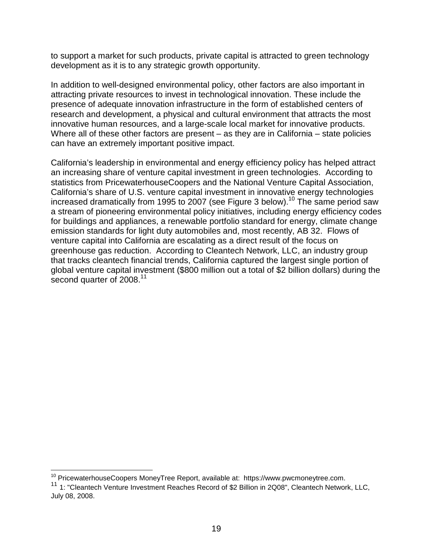to support a market for such products, private capital is attracted to green technology development as it is to any strategic growth opportunity.

 In addition to well-designed environmental policy, other factors are also important in attracting private resources to invest in technological innovation. These include the presence of adequate innovation infrastructure in the form of established centers of research and development, a physical and cultural environment that attracts the most innovative human resources, and a large-scale local market for innovative products. Where all of these other factors are present – as they are in California – state policies can have an extremely important positive impact.

 California's leadership in environmental and energy efficiency policy has helped attract an increasing share of venture capital investment in green technologies. According to statistics from PricewaterhouseCoopers and the National Venture Capital Association, California's share of U.S. venture capital investment in innovative energy technologies increased dramatically from 1995 to 2007 (see Figure 3 [below\).](https://below).10)<sup>10</sup> The same period saw a stream of pioneering environmental policy initiatives, including energy efficiency codes for buildings and appliances, a renewable portfolio standard for energy, climate change emission standards for light duty automobiles and, most recently, AB 32. Flows of venture capital into California are escalating as a direct result of the focus on greenhouse gas reduction. According to Cleantech Network, LLC, an industry group that tracks cleantech financial trends, California captured the largest single portion of global venture capital investment (\$800 million out a total of \$2 billion dollars) during the second quarter of 2008.<sup>11</sup>

<sup>&</sup>lt;sup>10</sup> PricewaterhouseCoopers MoneyTree Report, available at: https://www.pwcmoneytree.com. <sup>10</sup> PricewaterhouseCoopers MoneyTree Report, available at: <https://www.pwcmoneytree.com>.<br><sup>11</sup> 1: "Cleantech Venture Investment Reaches Record of \$2 Billion in 2Q08", Cleantech Network, LLC,

 July 08, 2008.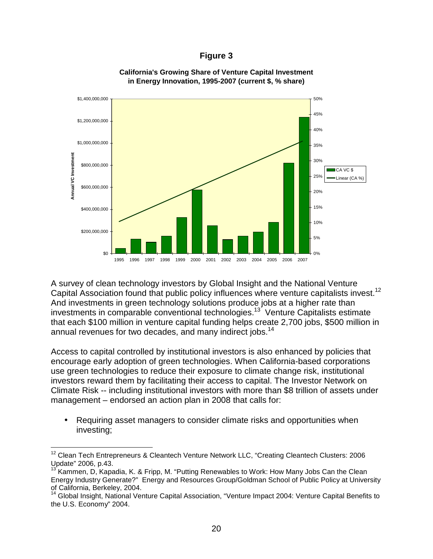#### **Figure 3**



#### **California's Growing Share of Venture Capital Investment in Energy Innovation, 1995-2007 (current \$, % share)**

 A survey of clean technology investors by Global Insight and the National Venture Capital Association found that public policy influences where venture capitalists invest.<sup>12</sup> And investments in green technology solutions produce jobs at a higher rate than investments in comparable conventional technologies.<sup>13</sup> Venture Capitalists estimate that each \$100 million in venture capital funding helps create 2,700 jobs, \$500 million in annual revenues for two decades, and many indirect jobs.<sup>14</sup>

 Access to capital controlled by institutional investors is also enhanced by policies that encourage early adoption of green technologies. When California-based corporations use green technologies to reduce their exposure to climate change risk, institutional investors reward them by facilitating their access to capital. The Investor Network on Climate Risk -- including institutional investors with more than \$8 trillion of assets under management – endorsed an action plan in 2008 that calls for:

 • Requiring asset managers to consider climate risks and opportunities when investing;

 $\overline{a}$ 

 $12$  Clean Tech Entrepreneurs & Cleantech Venture Network LLC, "Creating Cleantech Clusters: 2006 Update" 2006, p.43.

 $13'$ Kammen, D, Kapadia, K. & Fripp, M. "Putting Renewables to Work: How Many Jobs Can the Clean Energy Industry Generate?" Energy and Resources Group/Goldman School of Public Policy at University of California, Berkeley, 2004.

<sup>14</sup> Global Insight, National Venture Capital Association, "Venture Impact 2004: Venture Capital Benefits to the U.S. Economy" 2004.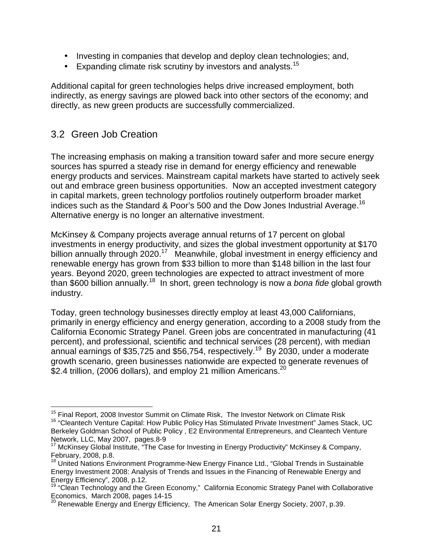- <span id="page-28-0"></span>• Investing in companies that develop and deploy clean technologies; and,
- **•** Expanding climate risk scrutiny by investors and [analysts.](https://analysts.15)<sup>15</sup>

 Additional capital for green technologies helps drive increased employment, both indirectly, as energy savings are plowed back into other sectors of the economy; and directly, as new green products are successfully commercialized.

#### 3.2 Green Job Creation

1

 The increasing emphasis on making a transition toward safer and more secure energy sources has spurred a steady rise in demand for energy efficiency and renewable energy products and services. Mainstream capital markets have started to actively seek out and embrace green business opportunities. Now an accepted investment category in capital markets, green technology portfolios routinely outperform broader market indices such as the Standard & Poor's 500 and the Dow Jones Industrial [Average.](https://Average.16)<sup>16</sup> Alternative energy is no longer an alternative investment.

 McKinsey & Company projects average annual returns of 17 percent on global investments in energy productivity, and sizes the global investment opportunity at \$170 billion annually through 2020.<sup>17</sup> Meanwhile, global investment in energy efficiency and renewable energy has grown from \$33 billion to more than \$148 billion in the last four years. Beyond 2020, green technologies are expected to attract investment of more than \$600 billion [annually.](https://annually.18)<sup>18</sup> In short, green technology is now a *bona fide* global growth industry.

 Today, green technology businesses directly employ at least 43,000 Californians, primarily in energy efficiency and energy generation, according to a 2008 study from the California Economic Strategy Panel. Green jobs are concentrated in manufacturing (41 percent), and professional, scientific and technical services (28 percent), with median annual earnings of \$35,725 and \$56,754, [respectively.](https://respectively.19)<sup>19</sup> By 2030, under a moderate growth scenario, green businesses nationwide are expected to generate revenues of  $$2.4$  trillion, (2006 dollars), and employ 21 million Americans.<sup>20</sup>

<sup>&</sup>lt;sup>15</sup> Final Report, 2008 Investor Summit on Climate Risk, The Investor Network on Climate Risk <sup>15</sup> Final Report, 2008 Investor Summit on Climate Risk, The Investor Network on Climate Risk<br><sup>16</sup> "Cleantech Venture Capital: How Public Policy Has Stimulated Private Investment" James Stack, UC

 Berkeley Goldman School of Public Policy , E2 Environmental Entrepreneurs, and Cleantech Venture Network, LLC, May 2007, pages.8-9

 $17$  McKinsey Global Institute, "The Case for Investing in Energy Productivity" McKinsey & Company, February, 2008, p.8.

<sup>&</sup>lt;sup>18</sup> United Nations Environment Programme-New Energy Finance Ltd., "Global Trends in Sustainable Energy Investment 2008: Analysis of Trends and Issues in the Financing of Renewable Energy and Energy Efficiency", 2008, p.12.

<sup>&</sup>lt;sup>19</sup> "Clean Technology and the Green Economy," California Economic Strategy Panel with Collaborative Economics, March 2008, pages 14-15

 $^{20}$  Renewable Energy and Energy Efficiency, The American Solar Energy Society, 2007, p.39.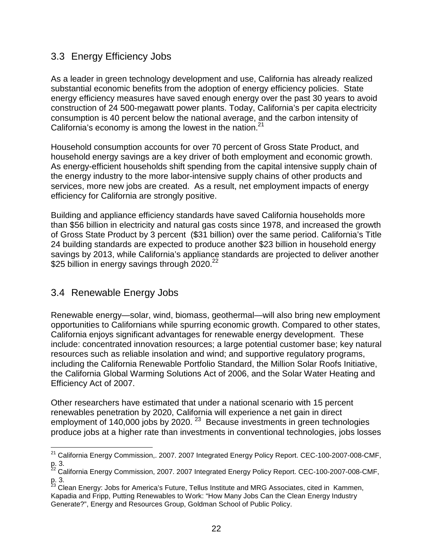#### <span id="page-29-0"></span>3.3 Energy Efficiency Jobs

 As a leader in green technology development and use, California has already realized substantial economic benefits from the adoption of energy efficiency policies. State energy efficiency measures have saved enough energy over the past 30 years to avoid construction of 24 500-megawatt power plants. Today, California's per capita electricity consumption is 40 percent below the national average, and the carbon intensity of California's economy is among the lowest in the nation. $21$ 

 Household consumption accounts for over 70 percent of Gross State Product, and household energy savings are a key driver of both employment and economic growth. As energy-efficient households shift spending from the capital intensive supply chain of the energy industry to the more labor-intensive supply chains of other products and services, more new jobs are created. As a result, net employment impacts of energy efficiency for California are strongly positive.

 Building and appliance efficiency standards have saved California households more than \$56 billion in electricity and natural gas costs since 1978, and increased the growth of Gross State Product by 3 percent (\$31 billion) over the same period. California's Title 24 building standards are expected to produce another \$23 billion in household energy savings by 2013, while California's appliance standards are projected to deliver another \$25 billion in energy savings through 2020.<sup>22</sup>

#### 3.4 Renewable Energy Jobs

 $\overline{\phantom{a}}$ 

 Renewable energy—solar, wind, biomass, geothermal—will also bring new employment opportunities to Californians while spurring economic growth. Compared to other states, California enjoys significant advantages for renewable energy development. These include: concentrated innovation resources; a large potential customer base; key natural resources such as reliable insolation and wind; and supportive regulatory programs, including the California Renewable Portfolio Standard, the Million Solar Roofs Initiative, the California Global Warming Solutions Act of 2006, and the Solar Water Heating and Efficiency Act of 2007.

 Other researchers have estimated that under a national scenario with 15 percent renewables penetration by 2020, California will experience a net gain in direct employment of 140,000 jobs by 2020.  $^{23}$  Because investments in green technologies produce jobs at a higher rate than investments in conventional technologies, jobs losses

 $^{21}$  California Energy Commission,. 2007. 2007 Integrated Energy Policy Report. CEC-100-2007-008-CMF, p. 3.

 $^{22}$  California Energy Commission, 2007. 2007 Integrated Energy Policy Report. CEC-100-2007-008-CMF, p. 3.

 Kapadia and Fripp, Putting Renewables to Work: "How Many Jobs Can the Clean Energy Industry Generate?", Energy and Resources Group, Goldman School of Public Policy.  $^{23}$  Clean Energy: Jobs for America's Future, Tellus Institute and MRG Associates, cited in Kammen,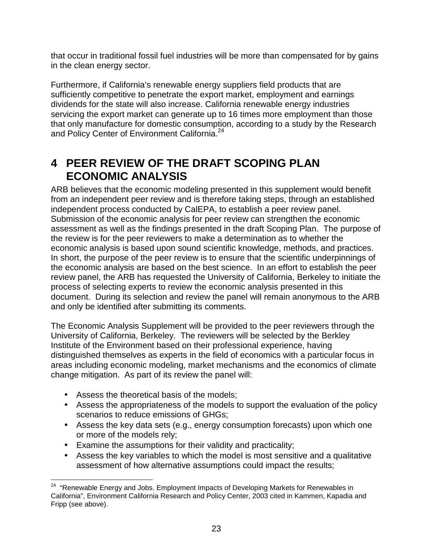<span id="page-30-0"></span> that occur in traditional fossil fuel industries will be more than compensated for by gains in the clean energy sector.

 Furthermore, if California's renewable energy suppliers field products that are sufficiently competitive to penetrate the export market, employment and earnings dividends for the state will also increase. California renewable energy industries servicing the export market can generate up to 16 times more employment than those that only manufacture for domestic consumption, according to a study by the Research and Policy Center of Environment California.<sup>24</sup>

# **4 PEER REVIEW OF THE DRAFT SCOPING PLAN ECONOMIC ANALYSIS**

 ARB believes that the economic modeling presented in this supplement would benefit from an independent peer review and is therefore taking steps, through an established independent process conducted by CalEPA, to establish a peer review panel. Submission of the economic analysis for peer review can strengthen the economic assessment as well as the findings presented in the draft Scoping Plan. The purpose of the review is for the peer reviewers to make a determination as to whether the economic analysis is based upon sound scientific knowledge, methods, and practices. In short, the purpose of the peer review is to ensure that the scientific underpinnings of the economic analysis are based on the best science. In an effort to establish the peer review panel, the ARB has requested the University of California, Berkeley to initiate the process of selecting experts to review the economic analysis presented in this document. During its selection and review the panel will remain anonymous to the ARB and only be identified after submitting its comments.

 The Economic Analysis Supplement will be provided to the peer reviewers through the University of California, Berkeley. The reviewers will be selected by the Berkley Institute of the Environment based on their professional experience, having distinguished themselves as experts in the field of economics with a particular focus in areas including economic modeling, market mechanisms and the economics of climate change mitigation. As part of its review the panel will:

- Assess the theoretical basis of the models;
- • Assess the appropriateness of the models to support the evaluation of the policy scenarios to reduce emissions of GHGs;
- • Assess the key data sets (e.g., energy consumption forecasts) upon which one or more of the models rely;
- Examine the assumptions for their validity and practicality;
- • Assess the key variables to which the model is most sensitive and a qualitative assessment of how alternative assumptions could impact the results;

<sup>1</sup>  $24$  "Renewable Energy and Jobs. Employment Impacts of Developing Markets for Renewables in California", Environment California Research and Policy Center, 2003 cited in Kammen, Kapadia and Fripp (see above).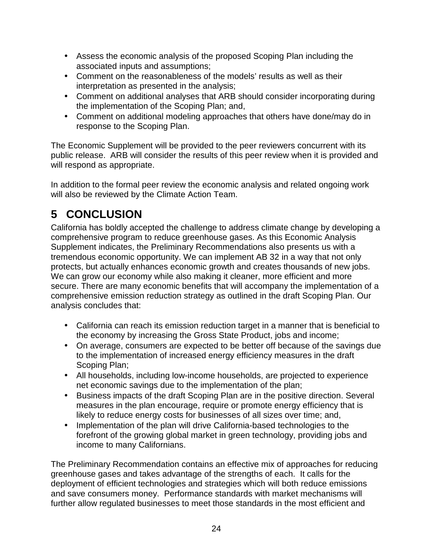- <span id="page-31-0"></span> • Assess the economic analysis of the proposed Scoping Plan including the associated inputs and assumptions;
- • Comment on the reasonableness of the models' results as well as their interpretation as presented in the analysis;
- • Comment on additional analyses that ARB should consider incorporating during the implementation of the Scoping Plan; and,
- • Comment on additional modeling approaches that others have done/may do in response to the Scoping Plan.

 The Economic Supplement will be provided to the peer reviewers concurrent with its public release. ARB will consider the results of this peer review when it is provided and will respond as appropriate.

 In addition to the formal peer review the economic analysis and related ongoing work will also be reviewed by the Climate Action Team.

# **5 CONCLUSION**

 California has boldly accepted the challenge to address climate change by developing a comprehensive program to reduce greenhouse gases. As this Economic Analysis Supplement indicates, the Preliminary Recommendations also presents us with a tremendous economic opportunity. We can implement AB 32 in a way that not only protects, but actually enhances economic growth and creates thousands of new jobs. We can grow our economy while also making it cleaner, more efficient and more secure. There are many economic benefits that will accompany the implementation of a comprehensive emission reduction strategy as outlined in the draft Scoping Plan. Our analysis concludes that:

- • California can reach its emission reduction target in a manner that is beneficial to the economy by increasing the Gross State Product, jobs and income;
- • On average, consumers are expected to be better off because of the savings due to the implementation of increased energy efficiency measures in the draft Scoping Plan;
- • All households, including low-income households, are projected to experience net economic savings due to the implementation of the plan;
- • Business impacts of the draft Scoping Plan are in the positive direction. Several measures in the plan encourage, require or promote energy efficiency that is likely to reduce energy costs for businesses of all sizes over time; and,
- • Implementation of the plan will drive California-based technologies to the forefront of the growing global market in green technology, providing jobs and income to many Californians.

 The Preliminary Recommendation contains an effective mix of approaches for reducing greenhouse gases and takes advantage of the strengths of each. It calls for the deployment of efficient technologies and strategies which will both reduce emissions and save consumers money. Performance standards with market mechanisms will further allow regulated businesses to meet those standards in the most efficient and